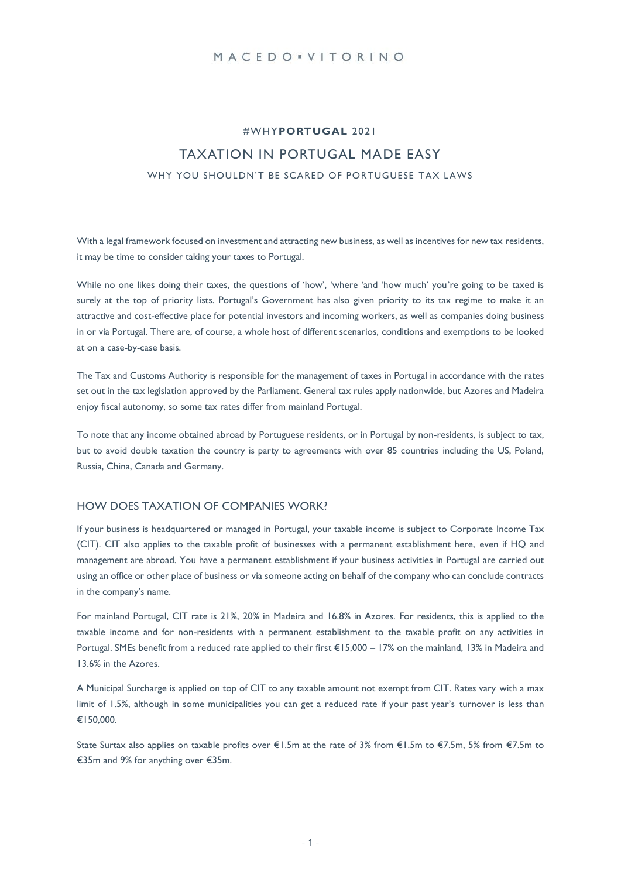## MACEDO . VITORINO

# #WHY**PORTUGAL** 2021 TAXATION IN PORTUGAL MADE EASY WHY YOU SHOULDN'T BE SCARED OF PORTUGUESE TAX LAWS

With a legal framework focused on investment and attracting new business, as well as incentives for new tax residents, it may be time to consider taking your taxes to Portugal.

While no one likes doing their taxes, the questions of 'how', 'where 'and 'how much' you're going to be taxed is surely at the top of priority lists. Portugal's Government has also given priority to its tax regime to make it an attractive and cost-effective place for potential investors and incoming workers, as well as companies doing business in or via Portugal. There are, of course, a whole host of different scenarios, conditions and exemptions to be looked at on a case-by-case basis.

The Tax and Customs Authority is responsible for the management of taxes in Portugal in accordance with the rates set out in the tax legislation approved by the Parliament. General tax rules apply nationwide, but Azores and Madeira enjoy fiscal autonomy, so some tax rates differ from mainland Portugal.

To note that any income obtained abroad by Portuguese residents, or in Portugal by non-residents, is subject to tax, but to avoid double taxation the country is party to agreements with over 85 countries including the US, Poland, Russia, China, Canada and Germany.

#### HOW DOES TAXATION OF COMPANIES WORK?

If your business is headquartered or managed in Portugal, your taxable income is subject to Corporate Income Tax (CIT). CIT also applies to the taxable profit of businesses with a permanent establishment here, even if HQ and management are abroad. You have a permanent establishment if your business activities in Portugal are carried out using an office or other place of business or via someone acting on behalf of the company who can conclude contracts in the company's name.

For mainland Portugal, CIT rate is 21%, 20% in Madeira and 16.8% in Azores. For residents, this is applied to the taxable income and for non-residents with a permanent establishment to the taxable profit on any activities in Portugal. SMEs benefit from a reduced rate applied to their first €15,000 – 17% on the mainland, 13% in Madeira and 13.6% in the Azores.

A Municipal Surcharge is applied on top of CIT to any taxable amount not exempt from CIT. Rates vary with a max limit of 1.5%, although in some municipalities you can get a reduced rate if your past year's turnover is less than €150,000.

State Surtax also applies on taxable profits over €1.5m at the rate of 3% from €1.5m to €7.5m, 5% from €7.5m to €35m and 9% for anything over €35m.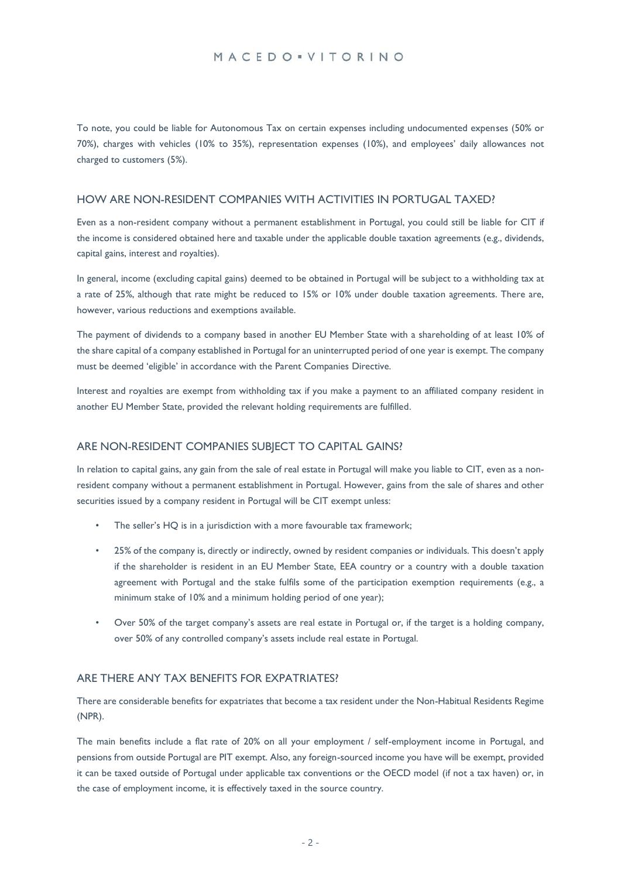## MACEDO . VITORINO

To note, you could be liable for Autonomous Tax on certain expenses including undocumented expenses (50% or 70%), charges with vehicles (10% to 35%), representation expenses (10%), and employees' daily allowances not charged to customers (5%).

#### HOW ARE NON-RESIDENT COMPANIES WITH ACTIVITIES IN PORTUGAL TAXED?

Even as a non-resident company without a permanent establishment in Portugal, you could still be liable for CIT if the income is considered obtained here and taxable under the applicable double taxation agreements (e.g., dividends, capital gains, interest and royalties).

In general, income (excluding capital gains) deemed to be obtained in Portugal will be subject to a withholding tax at a rate of 25%, although that rate might be reduced to 15% or 10% under double taxation agreements. There are, however, various reductions and exemptions available.

The payment of dividends to a company based in another EU Member State with a shareholding of at least 10% of the share capital of a company established in Portugal for an uninterrupted period of one year is exempt. The company must be deemed 'eligible' in accordance with the Parent Companies Directive.

Interest and royalties are exempt from withholding tax if you make a payment to an affiliated company resident in another EU Member State, provided the relevant holding requirements are fulfilled.

## ARE NON-RESIDENT COMPANIES SUBJECT TO CAPITAL GAINS?

In relation to capital gains, any gain from the sale of real estate in Portugal will make you liable to CIT, even as a nonresident company without a permanent establishment in Portugal. However, gains from the sale of shares and other securities issued by a company resident in Portugal will be CIT exempt unless:

- The seller's HQ is in a jurisdiction with a more favourable tax framework;
- 25% of the company is, directly or indirectly, owned by resident companies or individuals. This doesn't apply if the shareholder is resident in an EU Member State, EEA country or a country with a double taxation agreement with Portugal and the stake fulfils some of the participation exemption requirements (e.g., a minimum stake of 10% and a minimum holding period of one year);
- Over 50% of the target company's assets are real estate in Portugal or, if the target is a holding company, over 50% of any controlled company's assets include real estate in Portugal.

## ARE THERE ANY TAX BENEFITS FOR EXPATRIATES?

There are considerable benefits for expatriates that become a tax resident under the Non-Habitual Residents Regime (NPR).

The main benefits include a flat rate of 20% on all your employment / self-employment income in Portugal, and pensions from outside Portugal are PIT exempt. Also, any foreign-sourced income you have will be exempt, provided it can be taxed outside of Portugal under applicable tax conventions or the OECD model (if not a tax haven) or, in the case of employment income, it is effectively taxed in the source country.